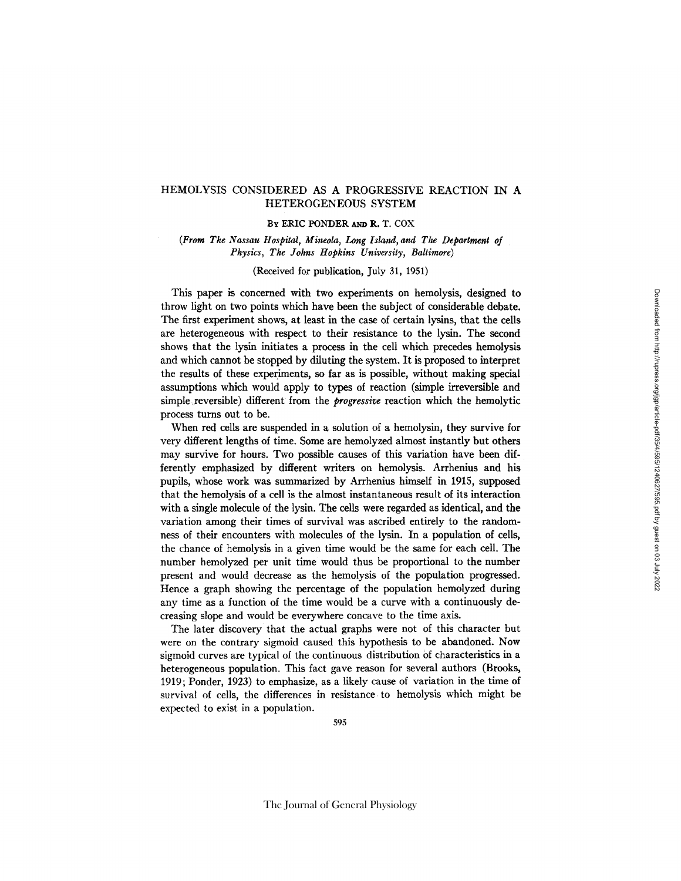# HEMOLYSIS CONSIDERED AS A PROGRESSIVE REACTION IN A HETEROGENEOUS SYSTEM

### BY ERIC PONDER AND R. T. COX

*(From The Nassau Hospital, Mineola, Long Island, and The Department of Physics, The Johns Hopkins University, Baltimore)* 

### (Received for publication, July 31, 1951)

This paper is concerned with two experiments on hemolysis, designed to throw light on two points which have been the subject of considerable debate. The first experiment shows, at least in the case of certain lysins, that the cells are heterogeneous with respect to their resistance to the lysin. The second shows that the lysin initiates a process in the cell which precedes hemolysis and which cannot be stopped by diluting the system. It is proposed to interpret the results of these experiments, so far as is possible, without making special assumptions which would apply to types of reaction (simple irreversible and simple,reversible) different from the *progressive* reaction which the hemolytic process turns out to be.

When red cells are suspended in a solution of a hemolysin, they survive for very different lengths of time. Some are hemolyzed almost instantly but others may survive for hours. Two possible causes of this variation have been differently emphasized by different writers on hemolysis. Arrhenius and his pupils, whose work was summarized by Arrhenius himself in 1915, supposed that the hemolysis of a cell is the almost instantaneous result of its interaction with a single molecule of the lysin. The cells were regarded as identical, and the variation among their times of survival was ascribed entirely to the randomness of their encounters with molecules of the lysin. In a population of cells, the chance of hemolysis in a given time would be the same for each cell. The number hemolyzed per unit time would thus be proportional to the number present and would decrease as the hemolysis of the population progressed. Hence a graph showing the percentage of the population hemolyzed during any time as a function of the time would be a curve with a continuously decreasing slope and would be everywhere concave to the time axis.

The later discovery that the actual graphs were not of this character but were on the contrary sigmoid caused this hypothesis to be abandoned. Now sigmoid curves are typical of the continuous distribution of characteristics in a heterogeneous population. This fact gave reason for several authors (Brooks, 1919; Ponder, 1923) to emphasize, as a likely cause of variation in the time of survival of cells, the differences in resistance to hemolysis which might be expected to exist in a population.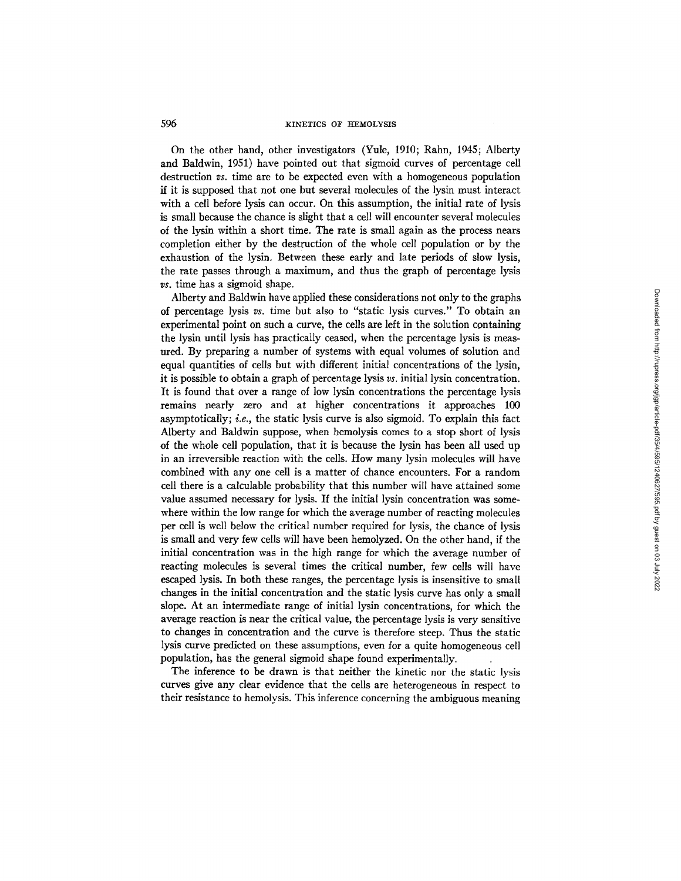### **596 <b>KINETICS** OF HEMOLYSIS

On the other hand, other investigators (Yule, 1910; Rahn, 1945; Alberty and Baldwin, 1951) have pointed out that sigmoid curves of percentage cell destruction vs. time are to be expected even with a homogeneous population if it is supposed that not one but several molecules of the lysin must interact with a cell before lysis can occur. On this assumption, the initial rate of lysis is small because the chance is slight that a cell will encounter several molecules of the lysin within a short time. The rate is small again as the process nears completion either by the destruction of the whole cell population or by the exhaustion of the lysin. Between these early and late periods of slow lysis, the rate passes through a maximum, and thus the graph of percentage lysis *vs.* time has a sigmoid shape.

Alberty and Baldwin have applied these considerations not only to the graphs of percentage lysis *vs.* time but also to "static lysis curves." To obtain an experimental point on such a curve, the cells are left in the solution containing the lysin until lysis has practically ceased, when the percentage lysis is measured. By preparing a number of systems with equal volumes of solution and equal quantities of cells but with different initial concentrations of the lysin, it is possible to obtain a graph of percentage lysis *vs.* initial lysin concentration. It is found that over a range of low lysin concentrations the percentage lysis remains nearly zero and at higher concentrations it approaches 100 asymptotically; *i.e.,* the static lysis curve is also sigmoid. To explain this fact Alberty and Baldwin suppose, when hemolysis comes to a stop short of lysis of the whole cell population, that it is because the lysin has been all used up in an irreversible reaction with the cells. How many lysin molecules will have combined with any one cell is a matter of chance encounters. For a random cell there is a calculable probability that this number will have attained some value assumed necessary for lysis. If the initial lysin concentration was somewhere within the low range for which the average number of reacting molecules per cell is well below the critical number required for lysis, the chance of lysis is small and very few cells will have been hemolyzed. On the other hand, if the initial concentration was in the high range for which the average number of reacting molecules is several times the critical number, few cells will have escaped lysis. In both these ranges, the percentage lysis is insensitive to small changes in the initial concentration and the static lysis curve has only a small slope. At an intermediate range of initial lysin concentrations, for which the average reaction is near the critical value, the percentage lysis is very sensitive to changes in concentration and the curve is therefore steep. Thus the static lysis curve predicted on these assumptions, even for a quite homogeneous cell population, has the general sigmoid shape found experimentally.

The inference to be drawn is that neither the kinetic nor the static lysis curves give any clear evidence that the cells are heterogeneous in respect to their resistance to hemolysis. This inference concerning the ambiguous meaning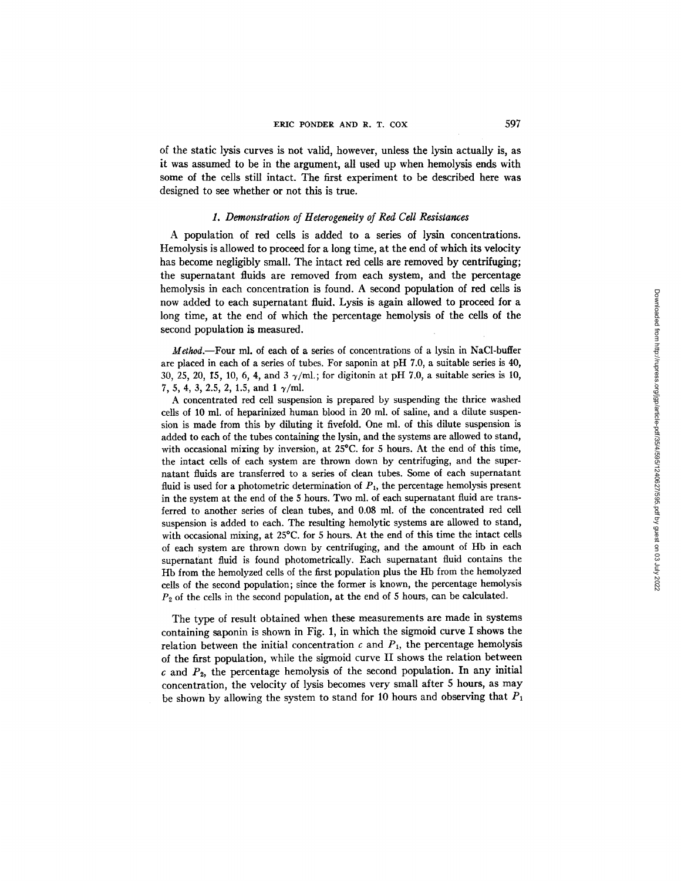of the static lysis curves is not valid, however, unless the lysin actually is, as it was assumed to be in the argument, all used up when hemolysis ends with some of the cells still intact. The first experiment to be described here was designed to see whether or not this is true.

### *1. Demonstration of Heterogeneity of Red Cell Resistances*

A population of red cells is added to a series of lysin concentrations. Hemolysis is allowed to proceed for a long time, at the end of which its velocity has become negligibly small. The intact red cells are removed by centrifuging; the supernatant fluids are removed from each system, and the percentage hemolysis in each concentration is found. A second population of red cells is now added to each supernatant fluid. Lysis is again allowed to proceed for a long time, at the end of which the percentage hemolysis of the cells of the second population is measured.

*Method.--Four* ml. of each of a series of concentrations of a lysin in NaCl-buffer are placed in each of a series of tubes. For saponin at pH 7.0, a suitable series is 40, 30, 25, 20, 15, 10, 6, 4, and  $3 \gamma/ml$ ; for digitonin at pH 7.0, a suitable series is 10, 7, 5, 4, 3, 2.5, 2, 1.5, and 1  $\gamma$ /ml.

A concentrated red cell suspension is prepared by suspending the thrice washed cells of 10 ml. of heparinized human blood in 20 ml. of saline, and a dilute suspension is made from this by diluting it fivefold. One ml. of this dilute suspension is added to each of the tubes containing the lysin, and the systems are allowed to stand, with occasional mixing by inversion, at 25<sup>o</sup>C. for 5 hours. At the end of this time, the intact cells of each system are thrown down by centrifuging, and the supernatant fluids are transferred to a series of clean tubes. Some of each supernatant fluid is used for a photometric determination of  $P_1$ , the percentage hemolysis present in the system at the end of the 5 hours. Two ml. of each supernatant fluid are transferred to another series of clean tubes, and 0.08 ml. of the concentrated red cell suspension is added to each. The resulting hemolytic systems are allowed to stand, with occasional mixing, at 25°C. for 5 hours. At the end of this time the intact cells of each system are thrown down by centrifuging, and the amount of Hb in each supernatant fluid is found photometrically. Each supernatant fluid contains the Hb from the hemolyzed cells of the first population plus the Hb from the hemolyzed cells of the second population; since the former is known, the percentage hemolysis  $P<sub>2</sub>$  of the cells in the second population, at the end of 5 hours, can be calculated.

The type of result obtained when these measurements are made in systems containing saponin is shown in Fig. 1, in which the sigmoid curve I shows the relation between the initial concentration  $c$  and  $P_1$ , the percentage hemolysis of the first population, while the sigmoid curve II shows the relation between  $c$  and  $P_2$ , the percentage hemolysis of the second population. In any initial concentration, the velocity of lysis becomes very small after 5 hours, as may be shown by allowing the system to stand for 10 hours and observing that  $P_1$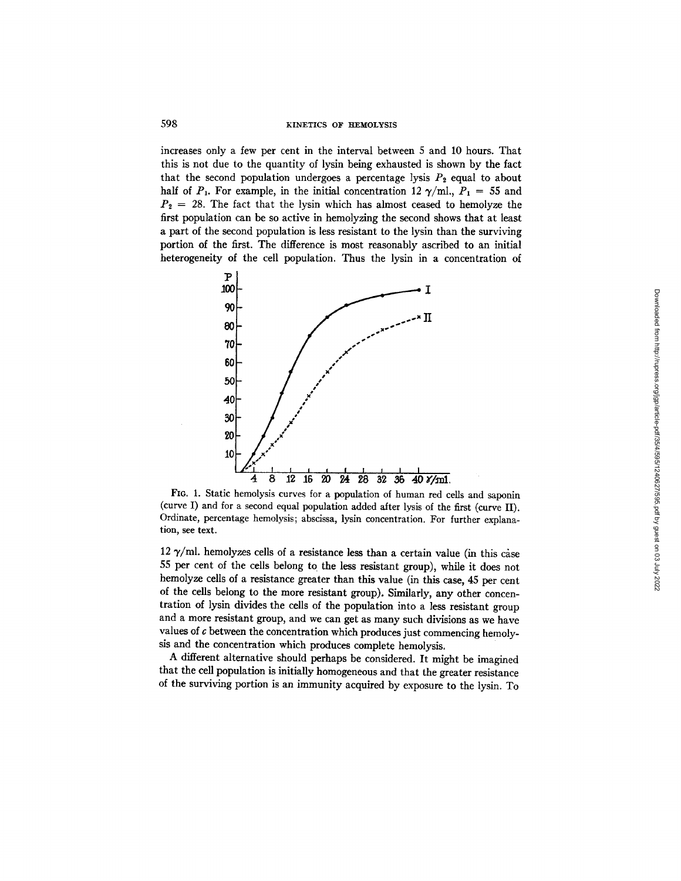## 598 KINETICS OF HEMOLYSIS

increases only a few per cent in the interval between 5 and 10 hours. That this is not due to the quantity of lysin being exhausted is shown by the fact that the second population undergoes a percentage lysis  $P_2$  equal to about half of  $P_1$ . For example, in the initial concentration 12  $\gamma$ /ml.,  $P_1 = 55$  and  $P_2 = 28$ . The fact that the lysin which has almost ceased to hemolyze the first population can be so active in hemolyzing the second shows that at least a part of the second population is less resistant to the lysin than the surviving portion of the first. The difference is most reasonably ascribed to an initial heterogeneity of the cell population. Thus the lysin in a concentration of



FIG. 1. Static hemolysis curves for a population of human red cells and saponin (curve I) and for a second equal population added after lysis of the first (curve II). Ordinate, percentage hemolysis; abscissa, lysin concentration. For further explanation, see text.

12  $\gamma$ /ml. hemolyzes cells of a resistance less than a certain value (in this case 55 per cent of the cells belong to. the less resistant group), while it does not hemolyze cells of a resistance greater than this value (in this case, 45 per cent of the cells belong to the more resistant group). Similarly, any other concentration of lysin divides the cells of the population into a less resistant group and a more resistant group, and we can get as many such divisions as we have values of  $c$  between the concentration which produces just commencing hemolysis and the concentration which produces complete hemolysis.

A different alternative should perhaps be considered. It might be imagined that the cell population is initially homogeneous and that the greater resistance of the surviving portion is an immunity acquired by exposure to the lysin. To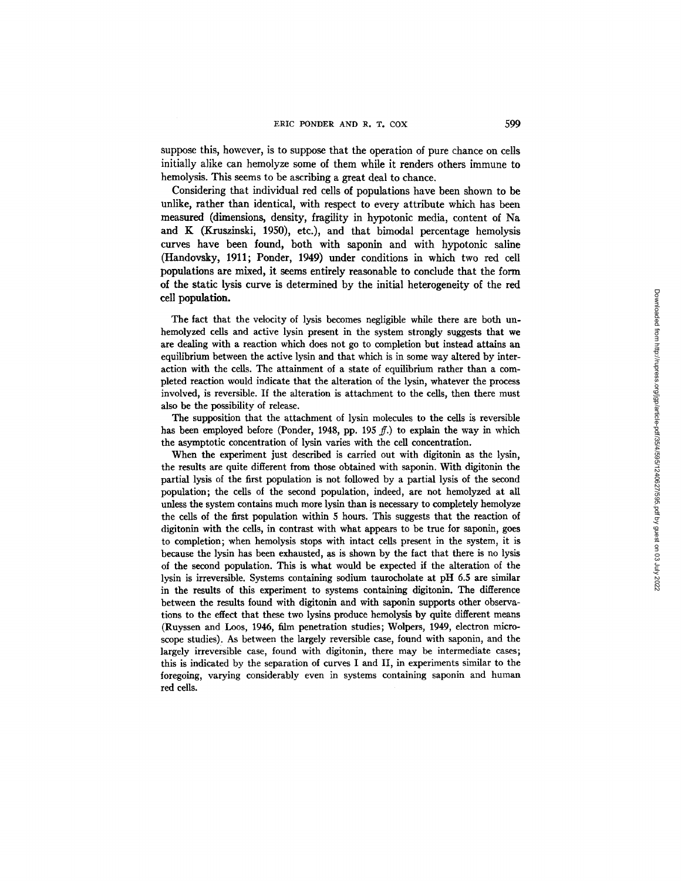suppose this, however, is to suppose that the operation of pure chance on cells initially alike can hemolyze some of them while it renders others immune to hemolysis. This seems to be ascribing a great deal to chance.

Considering that individual red cells of populations have been shown to be unlike, rather than identical, with respect to every attribute which has been measured (dimensions, density, fragility in hypotonic media, content of Na and K (Kruszinski, 1950), etc.), and that bimodal percentage hemolysis curves have been found, both with saponin and with hypotonic saline (Handovsky, 1911; Ponder, 1949) under conditions in which two red cell populations are mixed, it seems entirely reasonable to conclude that the form of the static lysis curve is determined by the initial heterogeneity of the red cell population.

The fact that the velocity of lysis becomes negligible while there are both unhemolyzed cells and active lysin present in the system strongly suggests that we are dealing with a reaction which does not go to completion but instead attains an equilibrium between the active lysin and that which is in some way altered by interaction with the cells. The attainment of a state of equilibrium rather than a completed reaction would indicate that the alteration of the lysin, whatever the process involved, is reversible. If the alteration is attachment to the cells, then there must also be the possibility of release.

The supposition that the attachment of lysin molecules to the cells is reversible has been employed before (Ponder, 1948, pp. 195  $f$ ) to explain the way in which the asymptotic concentration of lysin varies with the cell concentration.

When the experiment just described is carried out with digitonin as the lysin, the results are quite different from those obtained with saponin. With digitonin the partial lysis of the first population is not followed by a partial lysis of the second population; the cells of the second population, indeed, are not hemolyzed at all unless the system contains much more lysin than is necessary to completely hemolyze the cells of the first population within 5 hours. This suggests that the reaction of digitonin with the cells, in contrast with what appears to be true for saponin, goes to completion; when hemolysis stops with intact cells present in the system, it is because the lysin has been exhausted, as is shown by the fact that there is no lysis of the second population. This is what would be expected if the alteration of the lysin is irreversible. Systems containing sodium taurocholate at pH 6.5 are similar in the results of this experiment to systems containing digitonin. The difference between the results found with digitonin and with saponin supports other observations to the effect that these two lysins produce hemolysis by quite different means (Ruyssen and Loos, 1946, film penetration studies; Wolpers, 1949, electron microscope studies). As between the largely reversible case, found with saponin, and the largely irreversible case, found with digitonin, there may be intermediate cases; this is indicated by the separation of curves I and II, in experiments similar to the foregoing, varying considerably even in systems containing saponin and human red cells.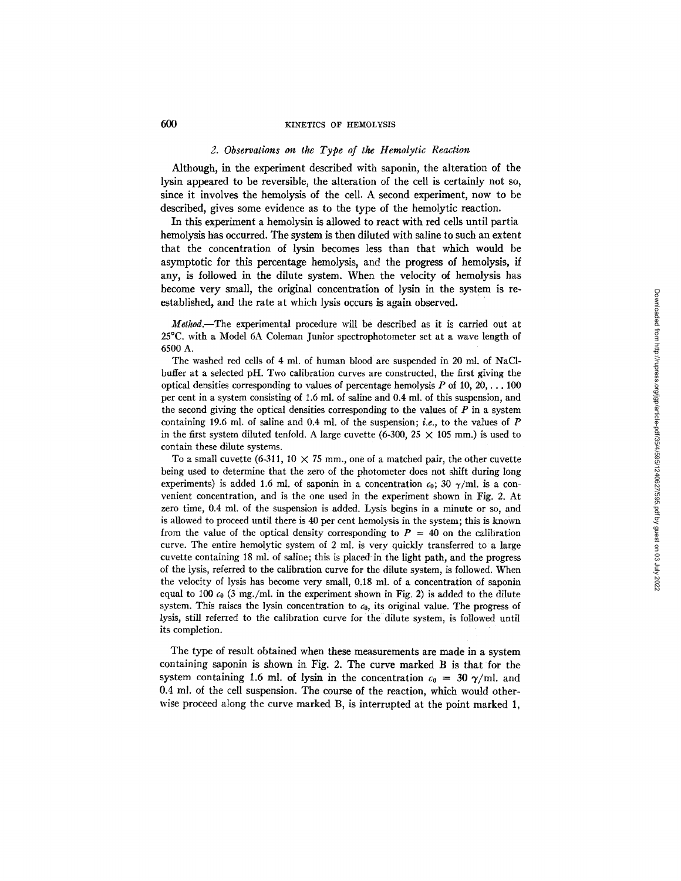### 600 KINETICS OF HEMOLYSIS

### *2. Observations on the Type of the Hemolytic Reaction*

Although, in the experiment described with saponin, the alteration of the lysin appeared to be reversible, the alteration of the cell is certainly not so, since it involves the hemolysis of the cell. A second experiment, now to be described, gives some evidence as to the type of the hemolytic reaction.

In this experiment a hemolysin is allowed to react with red cells until partia hemolysis has occurred. The system is then diluted with saline to such an extent that the concentration of lysin becomes less than that which would be asymptotic for this percentage hemolysis, and the progress of hemolysis, if any, is followed in the dilute system. When the velocity of hemolysis has become very small, the original concentration of lysin in the system is reestablished, and the rate at which lysis occurs is again observed.

*Method.--The* experimental procedure will be described as it is carried out at 25°C. with a Model 6A Coleman Junior spectrophotometer set at a wave length of 6500 A.

The washed red cells of 4 ml. of human blood are suspended in 20 ml. of NaCIbuffer at a selected pH. Two calibration curves are constructed, the first giving the optical densities corresponding to values of percentage hemolysis  $P$  of 10, 20, ... 100 per cent in a system consisting of 1.6 ml. of saline and 0.4 ml. of this suspension, and the second giving the optical densities corresponding to the values of  $P$  in a system containing 19.6 ml. of saline and 0.4 ml. of the suspension; *i.e.,* to the values of P in the first system diluted tenfold. A large cuvette (6-300,  $25 \times 105$  mm.) is used to contain these dilute systems.

To a small cuvette (6-311,  $10 \times 75$  mm., one of a matched pair, the other cuvette being used to determine that the zero of the photometer does not shift during long experiments) is added 1.6 ml. of saponin in a concentration  $c_0$ ; 30  $\gamma$ /ml. is a convenient concentration, and is the one used in the experiment shown in Fig. 2. At zero time, 0.4 ml. of the suspension is added. Lysis begins in a minute or so, and is allowed to proceed until there is 40 per cent hemolysis in the system; this is known from the value of the optical density corresponding to  $P = 40$  on the calibration curve. The entire hemolytic system of 2 ml. is very quickly transferred to a large cuvette containing 18 ml. of saline; this is placed in the light path, and the progress of the lysis, referred to the calibration curve for the dilute system, is followed. When the velocity of lysis has become very small, 0.18 ml. of a concentration of saponin equal to 100  $c_0$  (3 mg./ml. in the experiment shown in Fig. 2) is added to the dilute system. This raises the lysin concentration to  $c<sub>0</sub>$ , its original value. The progress of lysis, still referred to the calibration curve for the dilute system, is followed until its completion.

The type of result obtained when these measurements are made in a system containing saponin is shown in Fig. 2. The curve marked B is that for the system containing 1.6 ml. of lysin in the concentration  $c_0 = 30 \gamma/ml$ . and 0.4 m]. of the cell suspension. The course of the reaction, which would otherwise proceed along the curve marked B, is interrupted at the point marked 1,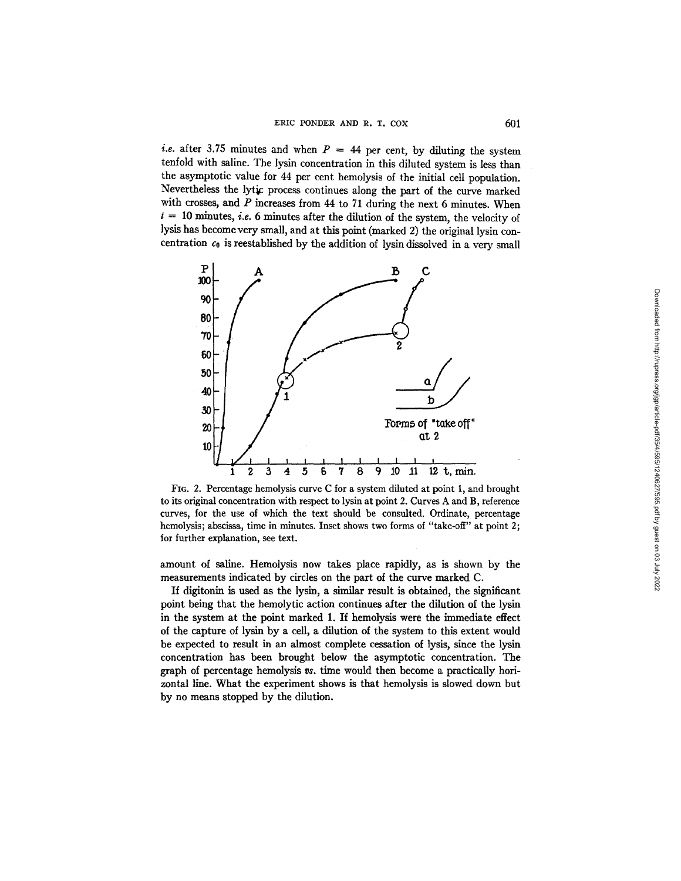*i.e.* after 3.75 minutes and when  $P = 44$  per cent, by diluting the system tenfold with saline. The lysin concentration in this diluted system is less than the asymptotic value for 44 per cent hemolysis of the initial cell population. Nevertheless the lytic process continues along the part of the curve marked with crosses, and  $P$  increases from 44 to 71 during the next 6 minutes. When  $t = 10$  minutes, *i.e.* 6 minutes after the dilution of the system, the velocity of lysis has become very small, and at this point (marked 2) the original lysin concentration  $c_0$  is reestablished by the addition of lysin dissolved in a very small



FIG. 2. Percentage hemolysis curve C for a system diluted at point 1, and brought to its original concentration with respect to lysin at point 2. Curves A and B, reference curves, for the use of which the text should be consulted. Ordinate, percentage hemolysis; abscissa, time in minutes. Inset shows two forms of "take-off" at point 2; for further explanation, see text.

amount of saline. Hemolysis now takes place rapidly, as is shown by the measurements indicated by circles on the part of the curve marked C.

If digitonin is used as the lysin, a similar result is obtained, the significant point being that the hemolytic action continues after the dilution of the lysin in the system at the point marked 1. If hemolysis were the immediate effect of the capture of lysin by a cell, a dilution of the system to this extent would be expected to result in an almost complete cessation of lysis, since the lysin concentration has been brought below the asymptotic concentration. The graph of percentage hemolysis *vs.* time would then become a practically horizontal line. What the experiment shows is that hemolysis is slowed down but by no means stopped by the dilution.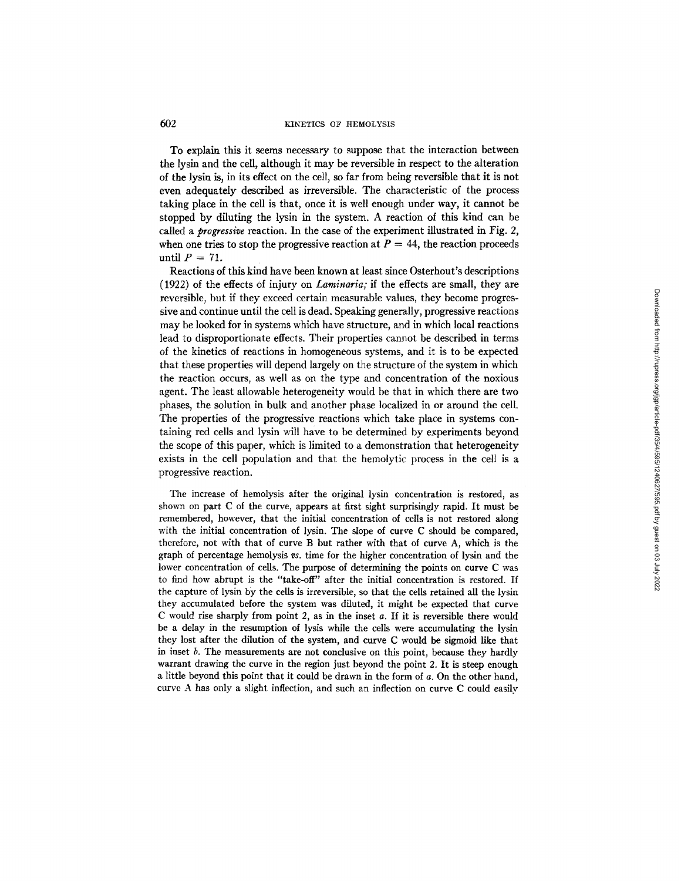## 602 KINETICS OF HEMOLYSIS

To explain this it seems necessary to suppose that the interaction between the lysin and the cell, although it may be reversible in respect to the alteration of the lysin is, in its effect on the cell, so far from being reversible that it is not even adequately described as irreversible. The characteristic of the process taking place in the cell is that, once it is well enough under way, it cannot be stopped by diluting the lysin in the system. A reaction of this kind can be called a *progressive* reaction. In the case of the experiment illustrated in Fig. 2, when one tries to stop the progressive reaction at  $P = 44$ , the reaction proceeds until  $P = 71$ .

Reactions of this kind have been known at least since Osterhout's descriptions (1922) of the effects of injury on *Laminaria;* if the effects are small, they are reversible, but if they exceed certain measurable values, they become progressive and continue until the cell is dead. Speaking generally, progressive reactions may be looked for in systems which have structure, and in which local reactions lead to disproportionate effects. Their properties cannot be described in terms of the kinetics of reactions in homogeneous systems, and it is to be expected that these properties will depend largely on the structure of the system in which the reaction occurs, as well as on the type and concentration of the noxious agent. The least allowable heterogeneity would be that in which there are two phases, the solution in bulk and another phase localized in or around the cell. The properties of the progressive reactions which take place in systems containing red cells and lysin will have to be determined by experiments beyond the scope of this paper, which is limited to a demonstration that heterogeneity exists in the cell population and that the hemolytic process in the cell is a progressive reaction.

The increase of hemolysis after the original lysin concentration is restored, as shown on part C of the curve, appears at first sight surprisingly rapid. It must be remembered, however, that the initial concentration of cells is not restored along with the initial concentration of lysin. The slope of curve C should be compared, therefore, not with that of curve B but rather with that of curve A, which is the graph of percentage hemolysis vs. time for the higher concentration of lysin and the lower concentration of cells. The purpose of determining the points on curve C was to find how abrupt is the "take-off" after the initial concentration is restored. If the capture of lysin by the cells is irreversible, so that the cells retained all the lysin they accumulated before the system was diluted, it might be expected that curve C would rise sharply from point 2, as in the inset  $a$ . If it is reversible there would be a delay in the resumption of lysis while the cells were accumulating the lysin they lost after the dilution of the system, and curve C would be sigmoid like that in inset b. The measurements are not conclusive on this point, because they hardly warrant drawing the curve in the region just beyond the point 2. It is steep enough a little beyond this point that it could be drawn in the form of a. On the other hand, curve A has only a slight inflection, and such an inflection on curve C could easily